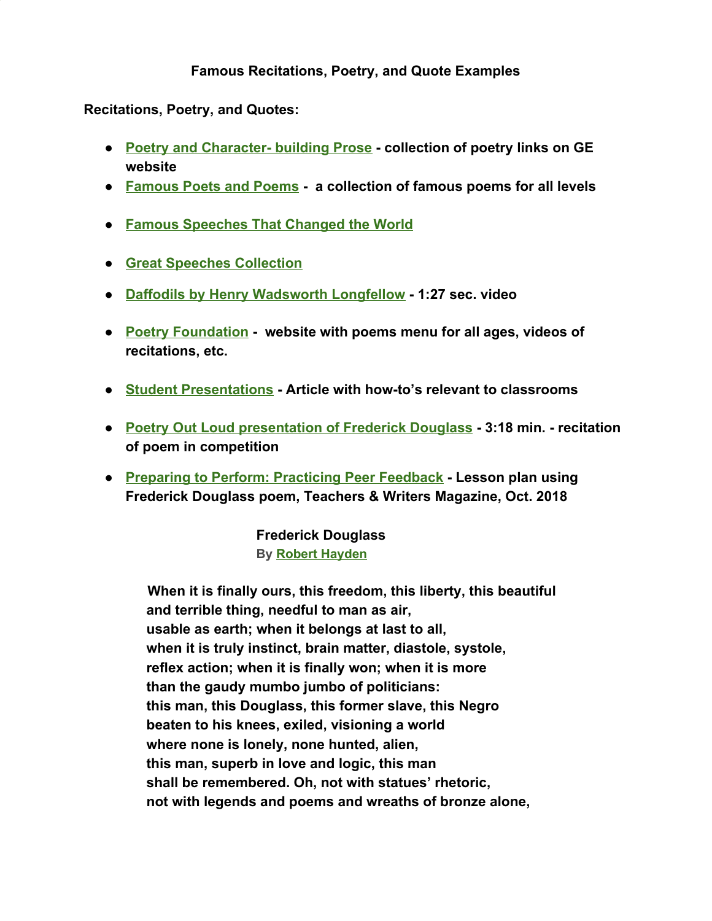## **Famous Recitations, Poetry, and Quote Examples**

**Recitations, Poetry, and Quotes:**

- **● [Poetry and Character- building Prose](http://www.greatexpectations.org/poetry-and-character-building-prose) collection of poetry links on GE website**
- **● [Famous Poets and Poems](http://famouspoetsandpoems.com/) a collection of famous poems for all levels**
- **● [Famous Speeches That Changed the World](https://www.biographyonline.net/speeches.html)**
- **● [Great Speeches Collection](http://www.historyplace.com/speeches/previous.htm)**
- **● [Daffodils by Henry Wadsworth Longfellow](https://www.poetryfoundation.org/video/77369/daffodils) 1:27 sec. video**
- **● [Poetry Foundation](https://www.poetryfoundation.org/poems)  website with poems menu for all ages, videos of recitations, etc.**
- **● [Student Presentations](https://www.teachingenglish.org.uk/article/student-presentations) Article with how-to's relevant to classrooms**
- **● [Poetry Out Loud presentation of Frederick Douglass](https://www.youtube.com/watch?v=nTmU2nI4X-I&t=133s) 3:18 min. recitation of poem in competition**
- **● [Preparing to Perform: Practicing Peer Feedback](https://teachersandwritersmagazine.org/preparing-to-perform-practicing-peer-feedback-5409.htm)  Lesson plan using Frederick Douglass poem, Teachers & Writers Magazine, Oct. 2018**

**Frederick Douglass By Robert [Hayden](https://www.poetryfoundation.org/poets/robert-hayden)**

 **When it is finally ours, this freedom, this liberty, this beautiful and terrible thing, needful to man as air, usable as earth; when it belongs at last to all, when it is truly instinct, brain matter, diastole, systole, reflex action; when it is finally won; when it is more than the gaudy mumbo jumbo of politicians: this man, this Douglass, this former slave, this Negro beaten to his knees, exiled, visioning a world where none is lonely, none hunted, alien, this man, superb in love and logic, this man shall be remembered. Oh, not with statues' rhetoric, not with legends and poems and wreaths of bronze alone,**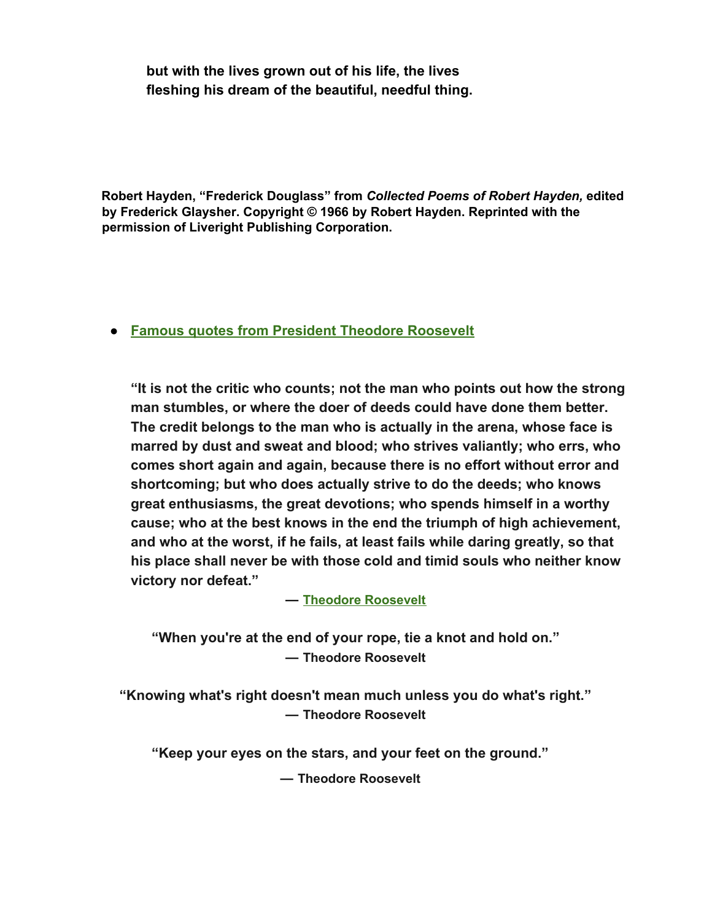**but with the lives grown out of his life, the lives fleshing his dream of the beautiful, needful thing.**

**Robert Hayden, "Frederick Douglass" from** *Collected Poems of Robert Hayden,* **edited by Frederick Glaysher. Copyright © 1966 by Robert Hayden. Reprinted with the permission of Liveright Publishing Corporation.**

# **● [Famous quotes from President Theodore Roosevelt](https://www.goodreads.com/author/quotes/44567.Theodore_Roosevelt)**

**"It is not the critic who counts; not the man who points out how the strong man stumbles, or where the doer of deeds could have done them better. The credit belongs to the man who is actually in the arena, whose face is marred by dust and sweat and blood; who strives valiantly; who errs, who comes short again and again, because there is no effort without error and shortcoming; but who does actually strive to do the deeds; who knows great enthusiasms, the great devotions; who spends himself in a worthy cause; who at the best knows in the end the triumph of high achievement, and who at the worst, if he fails, at least fails while daring greatly, so that his place shall never be with those cold and timid souls who neither know victory nor defeat."**

#### **― Theodore [Roosevelt](http://www.nobelprize.org/nobel_prizes/peace/laureates/1906/roosevelt-bio.html)**

**"When you're at the end of your rope, tie a knot and hold on." ― Theodore Roosevelt**

**"Knowing what's right doesn't mean much unless you do what's right." ― Theodore Roosevelt**

**"Keep your eyes on the stars, and your feet on the ground."**

**― Theodore Roosevelt**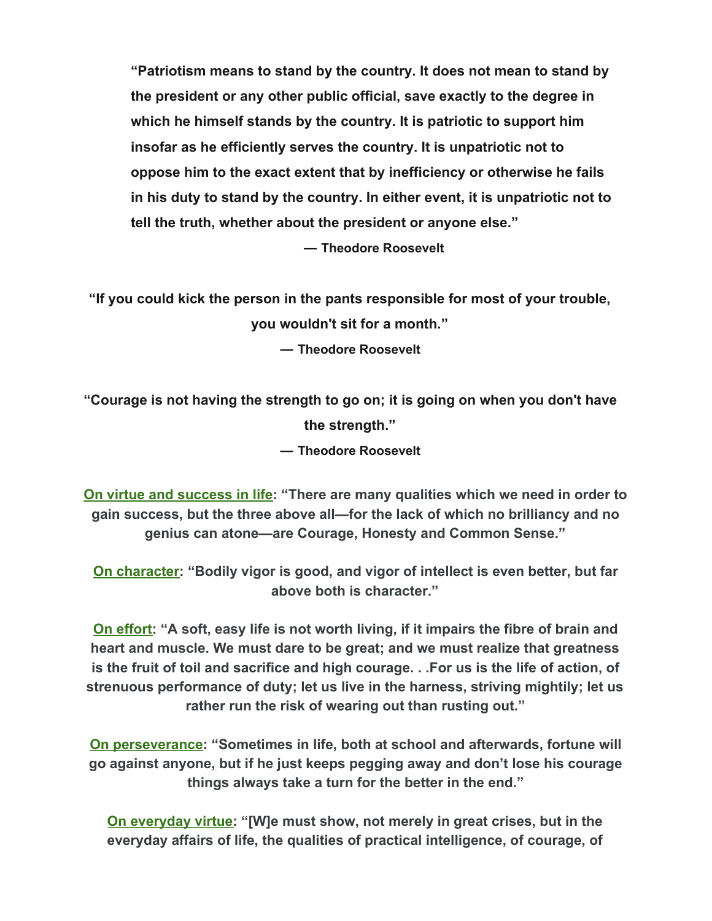**"Patriotism means to stand by the country. It does not mean to stand by the president or any other public official, save exactly to the degree in which he himself stands by the country. It is patriotic to support him insofar as he efficiently serves the country. It is unpatriotic not to oppose him to the exact extent that by inefficiency or otherwise he fails in his duty to stand by the country. In either event, it is unpatriotic not to tell the truth, whether about the president or anyone else."**

**― Theodore Roosevelt**

**"If you could kick the person in the pants responsible for most of your trouble,**

**you wouldn't sit for a month."**

**― Theodore Roosevelt**

**"Courage is not having the strength to go on; it is going on when you don't have the strength." ― Theodore Roosevelt**

**[On virtue and success in life:](https://theodorerooseveltcenter.org/Research/Digital-Library/Record/ImageViewer?libID=o283099&imageNo=5) "There are many qualities which we need in order to gain success, but the three above all—for the lack of which no brilliancy and no genius can atone—are Courage, Honesty and Common Sense."**

**[On character](https://books.google.com/books?id=P101DwAAQBAJ&lpg=PT2933&ots=0jDT9Adloi&dq=Bodily%20vigor%20is%20good%2C%20and%20vigor%20of%20intellect%20is%20even%20better%2C%20but%20far%20above%20both%20is%20character&pg=PT2932#v=onepage&q=Bodily%20vigor%20is%20good,%20and%20vigor%20of%20intellect%20is%20even%20better,%20but%20far%20above%20both%20is%20character&f=false): "Bodily vigor is good, and vigor of intellect is even better, but far above both is character."**

**[On effort:](https://cdnc.ucr.edu/cgi-bin/cdnc?a=d&d=LAH18981006.2.31&e=-------en--20--1--txt-txIN--------1) "A soft, easy life is not worth living, if it impairs the fibre of brain and heart and muscle. We must dare to be great; and we must realize that greatness is the fruit of toil and sacrifice and high courage. . .For us is the life of action, of strenuous performance of duty; let us live in the harness, striving mightily; let us rather run the risk of wearing out than rusting out."**

**[On perseverance:](https://www.theodorerooseveltcenter.org/Research/Digital-Library/Record?libID=o280739) "Sometimes in life, both at school and afterwards, fortune will go against anyone, but if he just keeps pegging away and don't lose his courage things always take a turn for the better in the end."**

**[On everyday virtue](https://en.wikisource.org/wiki/Theodore_Roosevelt%27s_Inaugural_Address): "[W]e must show, not merely in great crises, but in the everyday affairs of life, the qualities of practical intelligence, of courage, of**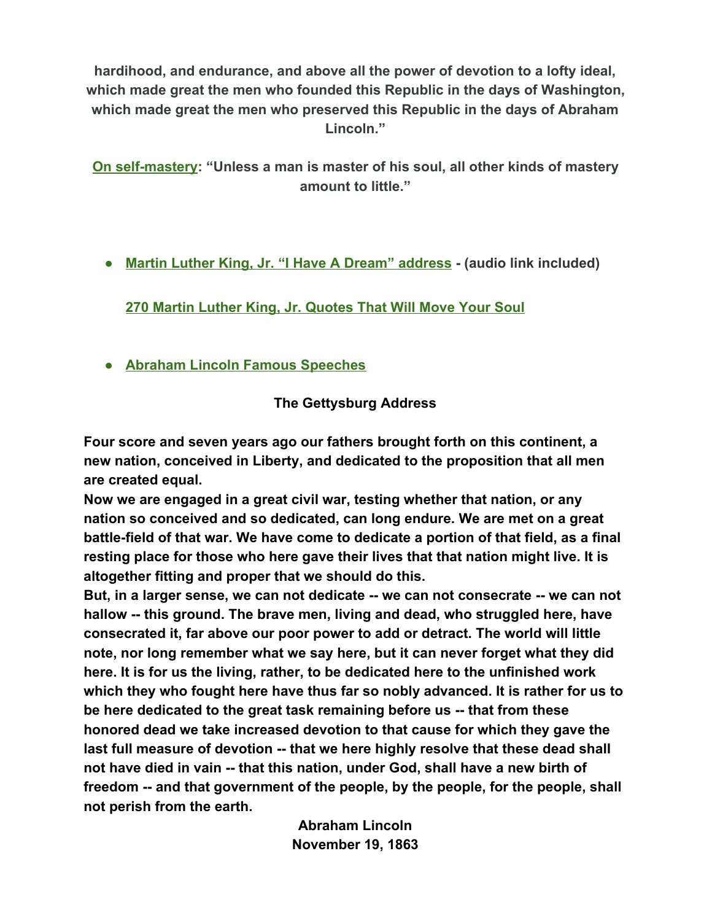**hardihood, and endurance, and above all the power of devotion to a lofty ideal, which made great the men who founded this Republic in the days of Washington, which made great the men who preserved this Republic in the days of Abraham Lincoln."**

**[On self-mastery](https://books.google.com/books?id=w1y_3o2_G5gC&pg=PA22&lpg=PA22&dq=Unless+a+man+is+master+of+his+soul,+all+other+kinds+of+mastery+amount+to+little+ladies%27+journal&source=bl&ots=kM-X6F1dcg&sig=1MNNltr1cqaVU2BZ0y7d2qYOw9k&hl=en&sa=X&ved=0ahUKEwiMmrfoofPKAhUFWD4KHfaWCaMQ6AEIIjAB#v=onepage&q=Unless%20a%20man%20is%20master%20of%20his%20soul%2C%20all%20other%20kinds%20of%20mastery%20amount%20to%20little%20ladies): "Unless a man is master of his soul, all other kinds of mastery amount to little."**

**● [Martin Luther King, Jr. "I Have A Dream" address](https://kinginstitute.stanford.edu/king-papers/documents/i-have-dream-address-delivered-march-washington-jobs-and-freedom) - (audio link included)**

**[270 Martin Luther King, Jr. Quotes That Will Move Your Soul](http://wisdomquotes.com/martin-luther-king-jr-quotes/)**

**● Abraham Lincoln Famous Speeches**

# **The Gettysburg Address**

**Four score and seven years ago our fathers brought forth on this continent, a new nation, conceived in Liberty, and dedicated to the proposition that all men are created equal.**

**Now we are engaged in a great civil war, testing whether that nation, or any nation so conceived and so dedicated, can long endure. We are met on a great battle-field of that war. We have come to dedicate a portion of that field, as a final resting place for those who here gave their lives that that nation might live. It is altogether fitting and proper that we should do this.**

**But, in a larger sense, we can not dedicate -- we can not consecrate -- we can not hallow -- this ground. The brave men, living and dead, who struggled here, have consecrated it, far above our poor power to add or detract. The world will little note, nor long remember what we say here, but it can never forget what they did here. It is for us the living, rather, to be dedicated here to the unfinished work which they who fought here have thus far so nobly advanced. It is rather for us to be here dedicated to the great task remaining before us -- that from these honored dead we take increased devotion to that cause for which they gave the last full measure of devotion -- that we here highly resolve that these dead shall not have died in vain -- that this nation, under God, shall have a new birth of freedom -- and that government of the people, by the people, for the people, shall not perish from the earth.**

> **Abraham Lincoln November 19, 1863**